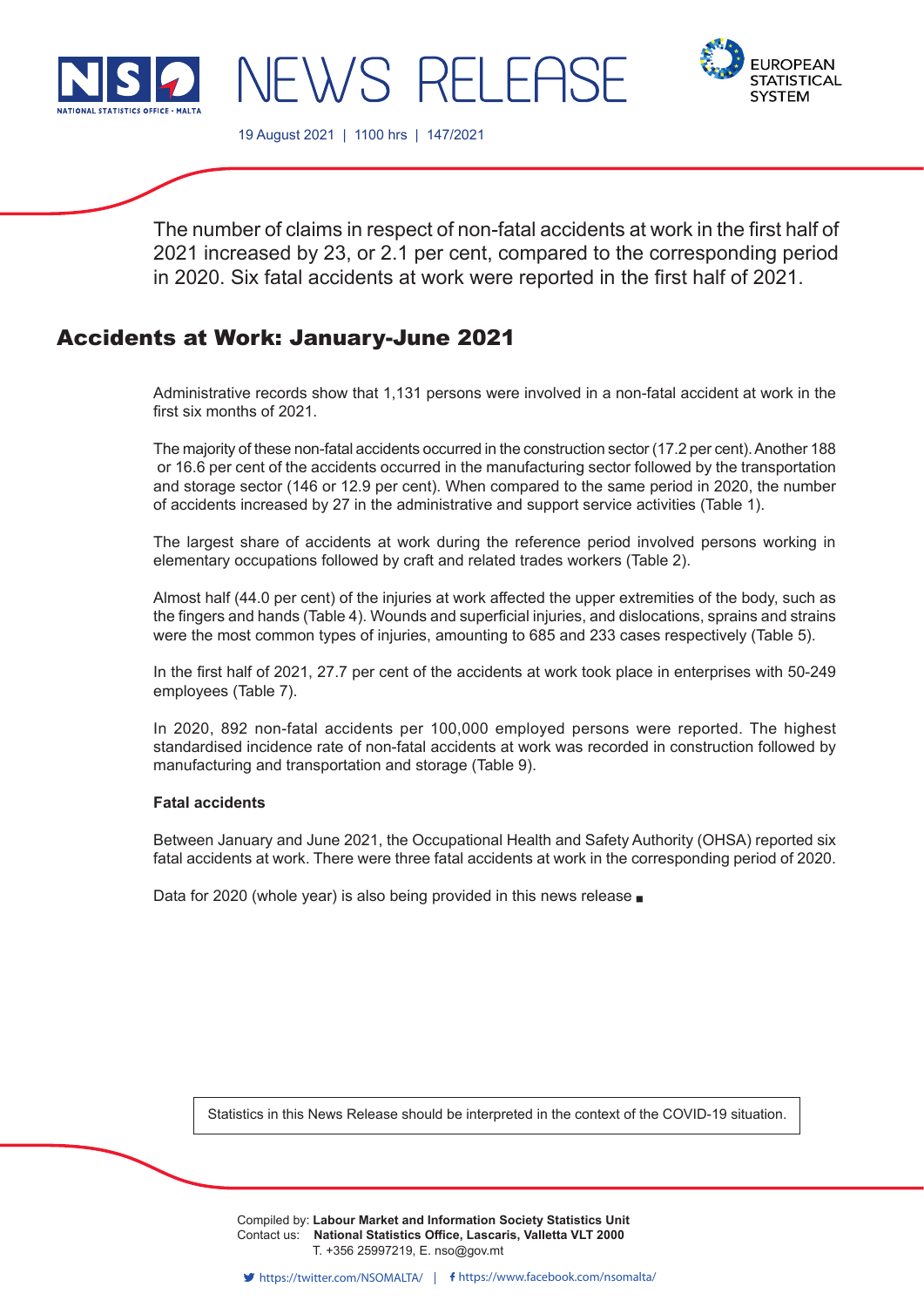



19 August 2021 | 1100 hrs | 147/2021

NEWS RELEF

The number of claims in respect of non-fatal accidents at work in the first half of 2021 increased by 23, or 2.1 per cent, compared to the corresponding period in 2020. Six fatal accidents at work were reported in the first half of 2021.

# Accidents at Work: January-June 2021

Administrative records show that 1,131 persons were involved in a non-fatal accident at work in the first six months of 2021.

The majority of these non-fatal accidents occurred in the construction sector (17.2 per cent). Another 188 or 16.6 per cent of the accidents occurred in the manufacturing sector followed by the transportation and storage sector (146 or 12.9 per cent). When compared to the same period in 2020, the number of accidents increased by 27 in the administrative and support service activities (Table 1).

The largest share of accidents at work during the reference period involved persons working in elementary occupations followed by craft and related trades workers (Table 2).

Almost half (44.0 per cent) of the injuries at work affected the upper extremities of the body, such as the fingers and hands (Table 4). Wounds and superficial injuries, and dislocations, sprains and strains were the most common types of injuries, amounting to 685 and 233 cases respectively (Table 5).

In the first half of 2021, 27.7 per cent of the accidents at work took place in enterprises with 50-249 employees (Table 7).

In 2020, 892 non-fatal accidents per 100,000 employed persons were reported. The highest standardised incidence rate of non-fatal accidents at work was recorded in construction followed by manufacturing and transportation and storage (Table 9).

# **Fatal accidents**

Between January and June 2021, the Occupational Health and Safety Authority (OHSA) reported six fatal accidents at work. There were three fatal accidents at work in the corresponding period of 2020.

Data for 2020 (whole year) is also being provided in this news release  $\blacksquare$ 

Statistics in this News Release should be interpreted in the context of the COVID-19 situation.

Compiled by: Labour Market and Information Society Statistics Unit Contact us: National Statistics Office, Lascaris, Valletta VLT 2000 Issued by: **Dissemination Unit, National Statistics Office, Lascaris, Valletta VLT 2000, Malta.** T. +356 25997219, E. nso@gov.mt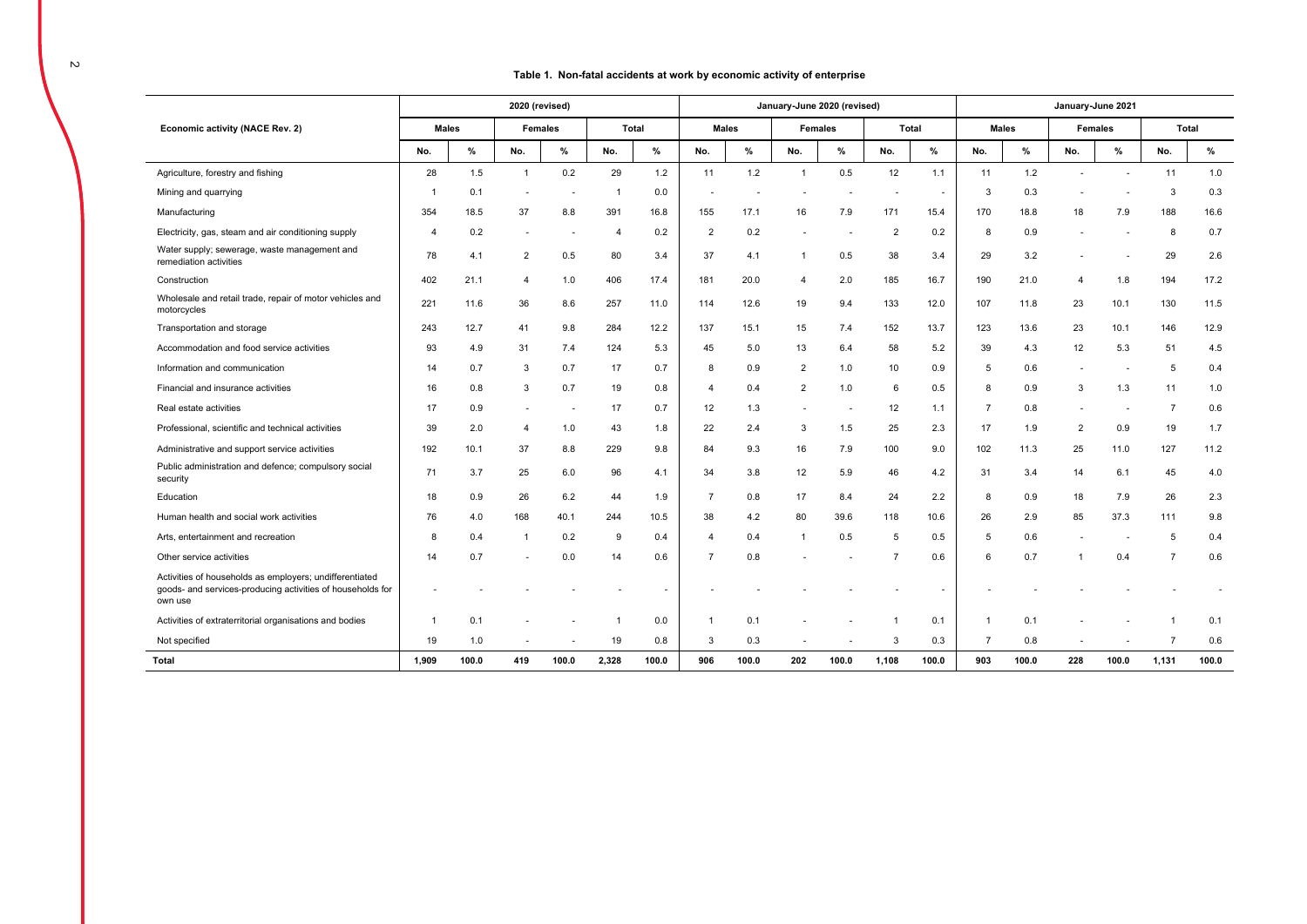### **Table 1. Non-fatal accidents at work by economic activity of enterprise**

|                                                                                                                                  |              |       |                          | 2020 (revised) |                |              |                |              | January-June 2020 (revised) |                          |                |                |                |              |                | January-June 2021 |                |       |
|----------------------------------------------------------------------------------------------------------------------------------|--------------|-------|--------------------------|----------------|----------------|--------------|----------------|--------------|-----------------------------|--------------------------|----------------|----------------|----------------|--------------|----------------|-------------------|----------------|-------|
| Economic activity (NACE Rev. 2)                                                                                                  | <b>Males</b> |       |                          | <b>Females</b> |                | <b>Total</b> |                | <b>Males</b> |                             | <b>Females</b>           |                | Total          |                | <b>Males</b> |                | <b>Females</b>    |                | Total |
|                                                                                                                                  | No.          | %     | No.                      | %              | No.            | $\%$         | No.            | %            | No.                         | $\%$                     | No.            | %              | No.            | %            | No.            | %                 | No.            | %     |
| Agriculture, forestry and fishing                                                                                                | 28           | 1.5   | $\overline{1}$           | 0.2            | 29             | 1.2          | 11             | 1.2          | $\overline{1}$              | 0.5                      | 12             | 1.1            | 11             | 1.2          | $\overline{a}$ |                   | 11             | 1.0   |
| Mining and quarrying                                                                                                             |              | 0.1   |                          |                | -1             | 0.0          |                |              |                             |                          |                | $\blacksquare$ | 3              | 0.3          |                |                   | 3              | 0.3   |
| Manufacturing                                                                                                                    | 354          | 18.5  | 37                       | 8.8            | 391            | 16.8         | 155            | 17.1         | 16                          | 7.9                      | 171            | 15.4           | 170            | 18.8         | 18             | 7.9               | 188            | 16.6  |
| Electricity, gas, steam and air conditioning supply                                                                              | 4            | 0.2   | $\overline{\phantom{a}}$ |                | $\overline{4}$ | 0.2          | 2              | 0.2          |                             |                          | $\overline{2}$ | 0.2            | 8              | 0.9          |                |                   | 8              | 0.7   |
| Water supply; sewerage, waste management and<br>remediation activities                                                           | 78           | 4.1   | 2                        | 0.5            | 80             | 3.4          | 37             | 4.1          | -1                          | 0.5                      | 38             | 3.4            | 29             | 3.2          |                |                   | 29             | 2.6   |
| Construction                                                                                                                     | 402          | 21.1  | 4                        | 1.0            | 406            | 17.4         | 181            | 20.0         | $\overline{\mathbf{4}}$     | 2.0                      | 185            | 16.7           | 190            | 21.0         | $\overline{4}$ | 1.8               | 194            | 17.2  |
| Wholesale and retail trade, repair of motor vehicles and<br>motorcycles                                                          | 221          | 11.6  | 36                       | 8.6            | 257            | 11.0         | 114            | 12.6         | 19                          | 9.4                      | 133            | 12.0           | 107            | 11.8         | 23             | 10.1              | 130            | 11.5  |
| Transportation and storage                                                                                                       | 243          | 12.7  | 41                       | 9.8            | 284            | 12.2         | 137            | 15.1         | 15                          | 7.4                      | 152            | 13.7           | 123            | 13.6         | 23             | 10.1              | 146            | 12.9  |
| Accommodation and food service activities                                                                                        | 93           | 4.9   | 31                       | 7.4            | 124            | 5.3          | 45             | 5.0          | 13                          | 6.4                      | 58             | 5.2            | 39             | 4.3          | 12             | 5.3               | 51             | 4.5   |
| Information and communication                                                                                                    | 14           | 0.7   | 3                        | 0.7            | 17             | 0.7          | 8              | 0.9          | 2                           | 1.0                      | 10             | 0.9            | 5              | 0.6          | $\blacksquare$ |                   | 5              | 0.4   |
| Financial and insurance activities                                                                                               | 16           | 0.8   | 3                        | 0.7            | 19             | 0.8          | 4              | 0.4          | 2                           | 1.0                      | 6              | 0.5            | 8              | 0.9          | 3              | 1.3               | 11             | 1.0   |
| Real estate activities                                                                                                           | 17           | 0.9   | $\overline{\phantom{a}}$ |                | 17             | 0.7          | 12             | 1.3          |                             | $\overline{\phantom{a}}$ | 12             | 1.1            | $\overline{7}$ | 0.8          | $\blacksquare$ |                   | $\overline{7}$ | 0.6   |
| Professional, scientific and technical activities                                                                                | 39           | 2.0   | $\overline{4}$           | 1.0            | 43             | 1.8          | 22             | 2.4          | 3                           | 1.5                      | 25             | 2.3            | 17             | 1.9          | $\overline{2}$ | 0.9               | 19             | 1.7   |
| Administrative and support service activities                                                                                    | 192          | 10.1  | 37                       | 8.8            | 229            | 9.8          | 84             | 9.3          | 16                          | 7.9                      | 100            | 9.0            | 102            | 11.3         | 25             | 11.0              | 127            | 11.2  |
| Public administration and defence; compulsory social<br>security                                                                 | 71           | 3.7   | 25                       | 6.0            | 96             | 4.1          | 34             | 3.8          | 12                          | 5.9                      | 46             | 4.2            | 31             | 3.4          | 14             | 6.1               | 45             | 4.0   |
| Education                                                                                                                        | 18           | 0.9   | 26                       | 6.2            | 44             | 1.9          | $\overline{7}$ | 0.8          | 17                          | 8.4                      | 24             | 2.2            | 8              | 0.9          | 18             | 7.9               | 26             | 2.3   |
| Human health and social work activities                                                                                          | 76           | 4.0   | 168                      | 40.1           | 244            | 10.5         | 38             | 4.2          | 80                          | 39.6                     | 118            | 10.6           | 26             | 2.9          | 85             | 37.3              | 111            | 9.8   |
| Arts, entertainment and recreation                                                                                               | 8            | 0.4   | $\overline{1}$           | 0.2            | -9             | 0.4          | 4              | 0.4          | $\overline{1}$              | 0.5                      | 5              | 0.5            | 5              | 0.6          |                |                   | 5              | 0.4   |
| Other service activities                                                                                                         | 14           | 0.7   |                          | 0.0            | 14             | 0.6          | $\overline{7}$ | 0.8          |                             |                          | $\overline{7}$ | 0.6            | 6              | 0.7          |                | 0.4               | $\overline{7}$ | 0.6   |
| Activities of households as employers; undifferentiated<br>goods- and services-producing activities of households for<br>own use |              |       |                          |                |                |              |                |              |                             |                          |                |                |                |              |                |                   |                |       |
| Activities of extraterritorial organisations and bodies                                                                          |              | 0.1   |                          |                |                | 0.0          |                | 0.1          |                             |                          |                | 0.1            |                | 0.1          |                |                   |                | 0.1   |
| Not specified                                                                                                                    | 19           | 1.0   |                          |                | 19             | 0.8          | 3              | 0.3          |                             |                          | 3              | 0.3            | $\overline{7}$ | 0.8          |                |                   | 7              | 0.6   |
| <b>Total</b>                                                                                                                     | 1.909        | 100.0 | 419                      | 100.0          | 2,328          | 100.0        | 906            | 100.0        | 202                         | 100.0                    | 1,108          | 100.0          | 903            | 100.0        | 228            | 100.0             | 1,131          | 100.0 |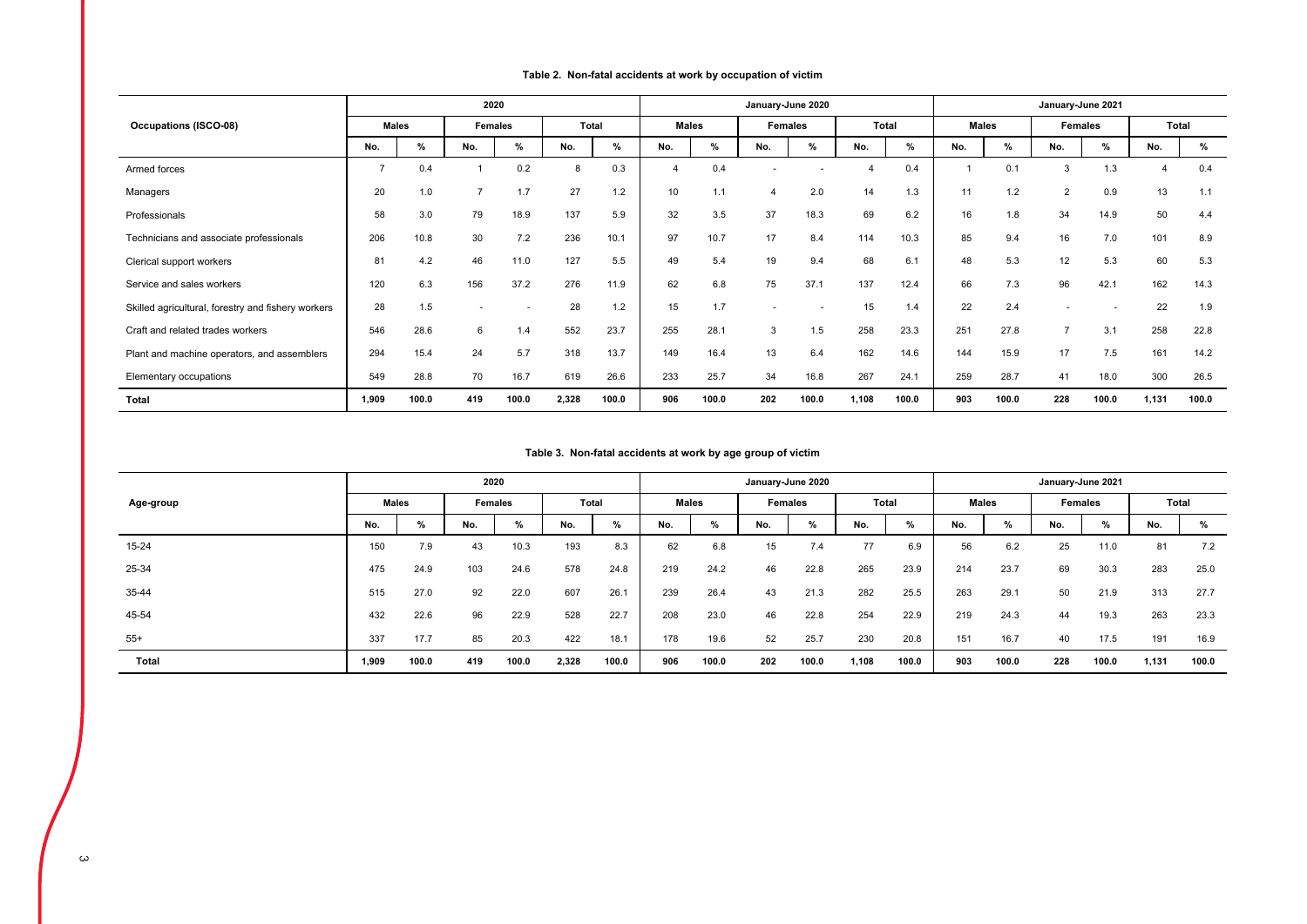|  |  |  |  | Table 2. Non-fatal accidents at work by occupation of victim |  |  |
|--|--|--|--|--------------------------------------------------------------|--|--|
|--|--|--|--|--------------------------------------------------------------|--|--|

|                                                    |                |       | 2020           |       |       |       |                |       | January-June 2020 |       |       |       |              |       | January-June 2021 |       |       |       |
|----------------------------------------------------|----------------|-------|----------------|-------|-------|-------|----------------|-------|-------------------|-------|-------|-------|--------------|-------|-------------------|-------|-------|-------|
| <b>Occupations (ISCO-08)</b>                       | <b>Males</b>   |       | Females        |       | Total |       | <b>Males</b>   |       | <b>Females</b>    |       | Total |       | <b>Males</b> |       | <b>Females</b>    |       | Total |       |
|                                                    | No.            | %     | No.            | %     | No.   | %     | No.            | %     | No.               | %     | No.   | %     | No.          | %     | No.               | %     | No.   | %     |
| Armed forces                                       | $\overline{7}$ | 0.4   |                | 0.2   | 8     | 0.3   | $\overline{4}$ | 0.4   |                   |       | 4     | 0.4   |              | 0.1   | 3                 | 1.3   | 4     | 0.4   |
| Managers                                           | 20             | 1.0   | $\overline{7}$ | 1.7   | 27    | 1.2   | 10             | 1.1   | 4                 | 2.0   | 14    | 1.3   | 11           | 1.2   | $\overline{2}$    | 0.9   | 13    | 1.1   |
| Professionals                                      | 58             | 3.0   | 79             | 18.9  | 137   | 5.9   | 32             | 3.5   | 37                | 18.3  | 69    | 6.2   | 16           | 1.8   | 34                | 14.9  | 50    | 4.4   |
| Technicians and associate professionals            | 206            | 10.8  | 30             | 7.2   | 236   | 10.1  | 97             | 10.7  | 17                | 8.4   | 114   | 10.3  | 85           | 9.4   | 16                | 7.0   | 101   | 8.9   |
| Clerical support workers                           | 81             | 4.2   | 46             | 11.0  | 127   | 5.5   | 49             | 5.4   | 19                | 9.4   | 68    | 6.1   | 48           | 5.3   | 12                | 5.3   | 60    | 5.3   |
| Service and sales workers                          | 120            | 6.3   | 156            | 37.2  | 276   | 11.9  | 62             | 6.8   | 75                | 37.1  | 137   | 12.4  | 66           | 7.3   | 96                | 42.1  | 162   | 14.3  |
| Skilled agricultural, forestry and fishery workers | 28             | 1.5   |                |       | 28    | 1.2   | 15             | 1.7   |                   |       | 15    | 1.4   | 22           | 2.4   |                   |       | 22    | 1.9   |
| Craft and related trades workers                   | 546            | 28.6  | 6              | 1.4   | 552   | 23.7  | 255            | 28.1  | 3                 | 1.5   | 258   | 23.3  | 251          | 27.8  | 7                 | 3.1   | 258   | 22.8  |
| Plant and machine operators, and assemblers        | 294            | 15.4  | 24             | 5.7   | 318   | 13.7  | 149            | 16.4  | 13                | 6.4   | 162   | 14.6  | 144          | 15.9  | 17                | 7.5   | 161   | 14.2  |
| Elementary occupations                             | 549            | 28.8  | 70             | 16.7  | 619   | 26.6  | 233            | 25.7  | 34                | 16.8  | 267   | 24.1  | 259          | 28.7  | 41                | 18.0  | 300   | 26.5  |
| Total                                              | 1,909          | 100.0 | 419            | 100.0 | 2,328 | 100.0 | 906            | 100.0 | 202               | 100.0 | 1,108 | 100.0 | 903          | 100.0 | 228               | 100.0 | 1,131 | 100.0 |

# **Table 3. Non-fatal accidents at work by age group of victim**

|           |              |       | 2020    |       |              |       |              |       | January-June 2020 |       |       |       |     |              | January-June 2021 |         |       |       |
|-----------|--------------|-------|---------|-------|--------------|-------|--------------|-------|-------------------|-------|-------|-------|-----|--------------|-------------------|---------|-------|-------|
| Age-group | <b>Males</b> |       | Females |       | <b>Total</b> |       | <b>Males</b> |       | Females           |       | Total |       |     | <b>Males</b> |                   | Females | Total |       |
|           | No.          | %     | No.     | %     | No.          | $\%$  | No.          | %     | No.               | %     | No.   | %     | No. | %            | No.               | %       | No.   | %     |
| 15-24     | 150          | 7.9   | 43      | 10.3  | 193          | 8.3   | 62           | 6.8   | 15                | 7.4   | 77    | 6.9   | 56  | 6.2          | 25                | 11.0    | 81    | 7.2   |
| 25-34     | 475          | 24.9  | 103     | 24.6  | 578          | 24.8  | 219          | 24.2  | 46                | 22.8  | 265   | 23.9  | 214 | 23.7         | 69                | 30.3    | 283   | 25.0  |
| 35-44     | 515          | 27.0  | 92      | 22.0  | 607          | 26.1  | 239          | 26.4  | 43                | 21.3  | 282   | 25.5  | 263 | 29.1         | 50                | 21.9    | 313   | 27.7  |
| 45-54     | 432          | 22.6  | 96      | 22.9  | 528          | 22.7  | 208          | 23.0  | 46                | 22.8  | 254   | 22.9  | 219 | 24.3         | 44                | 19.3    | 263   | 23.3  |
| $55+$     | 337          | 17.7  | 85      | 20.3  | 422          | 18.1  | 178          | 19.6  | 52                | 25.7  | 230   | 20.8  | 151 | 16.7         | 40                | 17.5    | 191   | 16.9  |
| Total     | 1,909        | 100.0 | 419     | 100.0 | 2,328        | 100.0 | 906          | 100.0 | 202               | 100.0 | 1,108 | 100.0 | 903 | 100.0        | 228               | 100.0   | 1,131 | 100.0 |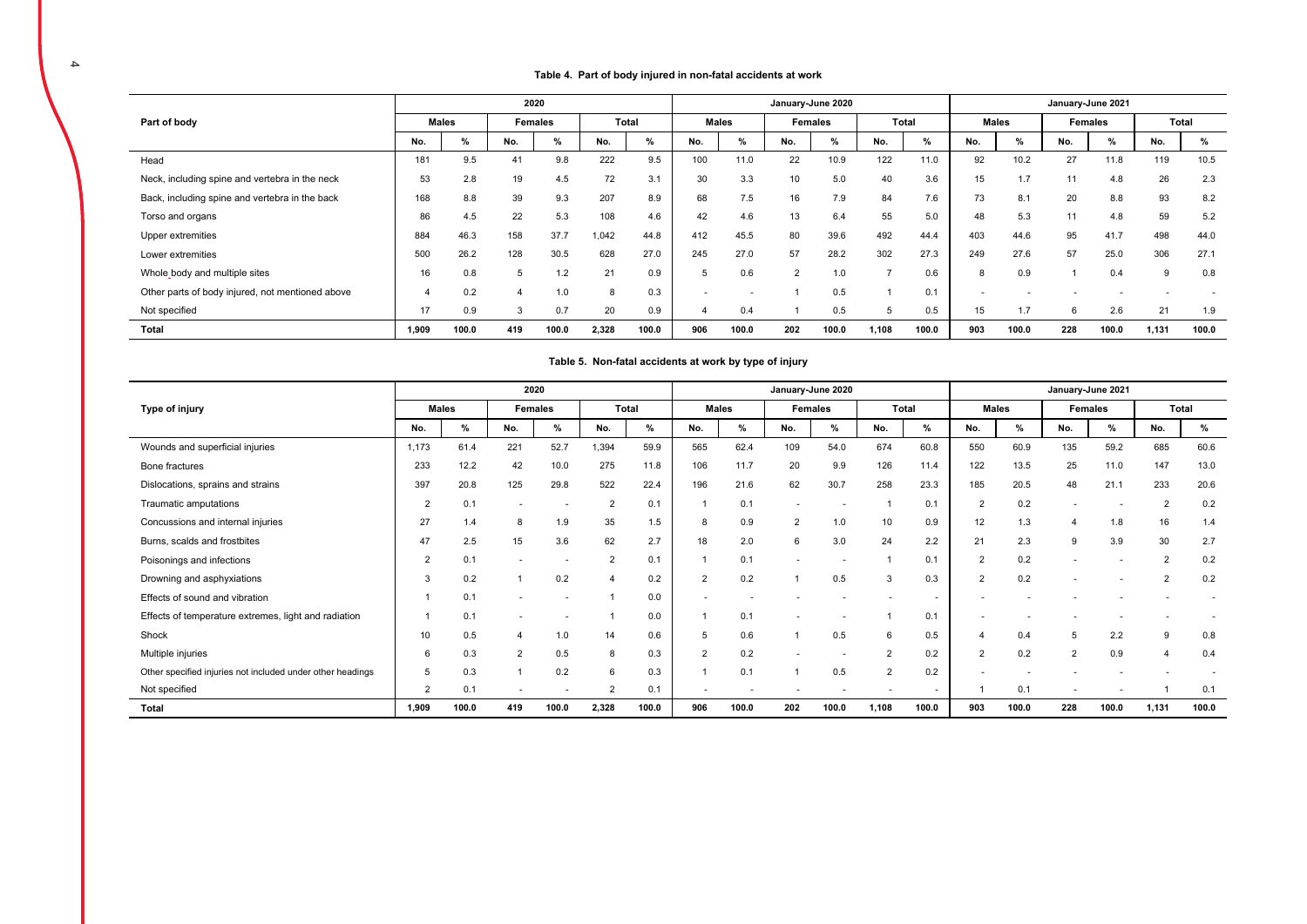### **Table 4. Part of body injured in non-fatal accidents at work**

|                                                  |       |              |     | 2020           |       |       |       |       |                | January-June 2020 |              |       |     |              | January-June 2021 |         |       |       |
|--------------------------------------------------|-------|--------------|-----|----------------|-------|-------|-------|-------|----------------|-------------------|--------------|-------|-----|--------------|-------------------|---------|-------|-------|
| Part of body                                     |       | <b>Males</b> |     | <b>Females</b> |       | Total | Males |       |                | Females           | <b>Total</b> |       |     | <b>Males</b> |                   | Females | Total |       |
|                                                  | No.   | %            | No. | %              | No.   | %     | No.   | %     | No.            | $\%$              | No.          | %     | No. | $\%$         | No.               | %       | No.   | %     |
| Head                                             | 181   | 9.5          | 41  | 9.8            | 222   | 9.5   | 100   | 11.0  | 22             | 10.9              | 122          | 11.0  | 92  | 10.2         | 27                | 11.8    | 119   | 10.5  |
| Neck, including spine and vertebra in the neck   | 53    | 2.8          | 19  | 4.5            | 72    | 3.1   | 30    | 3.3   | 10             | 5.0               | 40           | 3.6   | 15  | 1.7          | 11                | 4.8     | 26    | 2.3   |
| Back, including spine and vertebra in the back   | 168   | 8.8          | 39  | 9.3            | 207   | 8.9   | 68    | 7.5   | 16             | 7.9               | 84           | 7.6   | 73  | 8.1          | 20                | 8.8     | 93    | 8.2   |
| Torso and organs                                 | 86    | 4.5          | 22  | 5.3            | 108   | 4.6   | 42    | 4.6   | 13             | 6.4               | 55           | 5.0   | 48  | 5.3          | 11                | 4.8     | 59    | 5.2   |
| Upper extremities                                | 884   | 46.3         | 158 | 37.7           | 1,042 | 44.8  | 412   | 45.5  | 80             | 39.6              | 492          | 44.4  | 403 | 44.6         | 95                | 41.7    | 498   | 44.0  |
| Lower extremities                                | 500   | 26.2         | 128 | 30.5           | 628   | 27.0  | 245   | 27.0  | 57             | 28.2              | 302          | 27.3  | 249 | 27.6         | 57                | 25.0    | 306   | 27.1  |
| Whole_body and multiple sites                    | 16    | 0.8          | 5   | 1.2            | 21    | 0.9   |       | 0.6   | $\overline{2}$ | 1.0               | -            | 0.6   | 8   | 0.9          |                   | 0.4     | 9     | 0.8   |
| Other parts of body injured, not mentioned above |       | 0.2          | 4   | 1.0            | 8     | 0.3   |       |       |                | 0.5               |              | 0.1   |     |              |                   |         |       |       |
| Not specified                                    | 17    | 0.9          | 3   | 0.7            | 20    | 0.9   |       | 0.4   |                | 0.5               | 5            | 0.5   | 15  | 1.7          | 6                 | 2.6     | 21    | 1.9   |
| Total                                            | 1.909 | 100.0        | 419 | 100.0          | 2,328 | 100.0 | 906   | 100.0 | 202            | 100.0             | 1,108        | 100.0 | 903 | 100.0        | 228               | 100.0   | 1,131 | 100.0 |

### **Table 5. Non-fatal accidents at work by type of injury**

|                                                            |                |       |     | 2020           |                |       |                |                |                | January-June 2020 |                |       |                |              |                          | January-June 2021 |                       |       |
|------------------------------------------------------------|----------------|-------|-----|----------------|----------------|-------|----------------|----------------|----------------|-------------------|----------------|-------|----------------|--------------|--------------------------|-------------------|-----------------------|-------|
| Type of injury                                             | <b>Males</b>   |       |     | <b>Females</b> |                | Total |                | Males          |                | <b>Females</b>    | Total          |       |                | <b>Males</b> |                          | Females           |                       | Total |
|                                                            | No.            | %     | No. | %              | No.            | %     | No.            | %              | No.            | %                 | No.            | %     | No.            | %            | No.                      | %                 | No.                   | %     |
| Wounds and superficial injuries                            | 1.173          | 61.4  | 221 | 52.7           | 1,394          | 59.9  | 565            | 62.4           | 109            | 54.0              | 674            | 60.8  | 550            | 60.9         | 135                      | 59.2              | 685                   | 60.6  |
| Bone fractures                                             | 233            | 12.2  | 42  | 10.0           | 275            | 11.8  | 106            | 11.7           | 20             | 9.9               | 126            | 11.4  | 122            | 13.5         | 25                       | 11.0              | 147                   | 13.0  |
| Dislocations, sprains and strains                          | 397            | 20.8  | 125 | 29.8           | 522            | 22.4  | 196            | 21.6           | 62             | 30.7              | 258            | 23.3  | 185            | 20.5         | 48                       | 21.1              | 233                   | 20.6  |
| Traumatic amputations                                      | $\overline{2}$ | 0.1   |     |                | $\overline{2}$ | 0.1   |                | 0.1            |                |                   |                | 0.1   | $\overline{2}$ | 0.2          |                          |                   | $\overline{2}$        | 0.2   |
| Concussions and internal injuries                          | 27             | 1.4   | 8   | 1.9            | 35             | 1.5   | 8              | 0.9            | $\overline{2}$ | 1.0               | 10             | 0.9   | 12             | 1.3          | 4                        | 1.8               | 16                    | 1.4   |
| Burns, scalds and frostbites                               | 47             | 2.5   | 15  | 3.6            | 62             | 2.7   | 18             | 2.0            | 6              | 3.0               | 24             | 2.2   | 21             | 2.3          | 9                        | 3.9               | 30                    | 2.7   |
| Poisonings and infections                                  | $\overline{2}$ | 0.1   |     |                | $\overline{2}$ | 0.1   |                | 0.1            |                |                   |                | 0.1   | $\overline{2}$ | 0.2          | $\overline{\phantom{a}}$ |                   | $\overline{2}$        | 0.2   |
| Drowning and asphyxiations                                 | 3              | 0.2   |     | 0.2            |                | 0.2   | $\overline{2}$ | 0.2            |                | 0.5               | 3              | 0.3   | $\overline{2}$ | 0.2          |                          |                   | $\overline{2}$        | 0.2   |
| Effects of sound and vibration                             |                | 0.1   |     |                |                | 0.0   |                |                |                |                   |                |       |                |              |                          |                   |                       |       |
| Effects of temperature extremes, light and radiation       |                | 0.1   |     |                |                | 0.0   |                | 0.1            |                |                   |                | 0.1   |                |              |                          |                   |                       |       |
| Shock                                                      | 10             | 0.5   |     | 1.0            | 14             | 0.6   | 5              | 0.6            |                | 0.5               | 6              | 0.5   |                | 0.4          | 5                        | 2.2               | 9                     | 0.8   |
| Multiple injuries                                          | 6              | 0.3   | 2   | 0.5            | 8              | 0.3   | $\overline{2}$ | 0.2            |                |                   | $\mathcal{P}$  | 0.2   | 2              | 0.2          | $\overline{2}$           | 0.9               | $\boldsymbol{\Delta}$ | 0.4   |
| Other specified injuries not included under other headings | 5              | 0.3   |     | 0.2            | 6              | 0.3   |                | 0.1            |                | 0.5               | $\overline{2}$ | 0.2   |                |              |                          |                   |                       |       |
| Not specified                                              | $\overline{2}$ | 0.1   | ٠   |                | $\overline{2}$ | 0.1   | ۰              | $\overline{a}$ |                |                   |                |       |                | 0.1          | $\overline{\phantom{a}}$ |                   |                       | 0.1   |
| Total                                                      | 1.909          | 100.0 | 419 | 100.0          | 2,328          | 100.0 | 906            | 100.0          | 202            | 100.0             | 1,108          | 100.0 | 903            | 100.0        | 228                      | 100.0             | 1,131                 | 100.0 |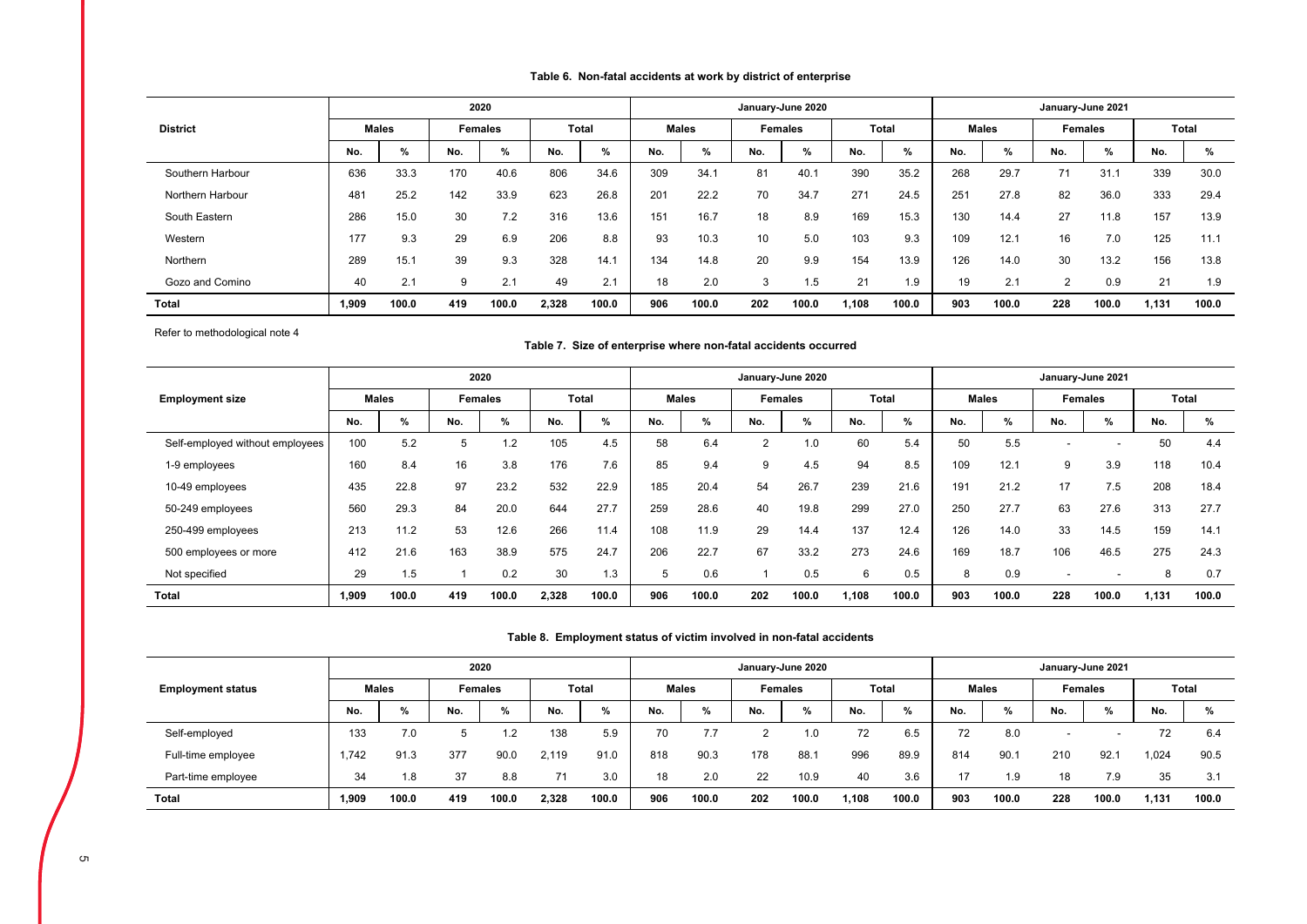| Table 6. Non-fatal accidents at work by district of enterprise |  |
|----------------------------------------------------------------|--|
|----------------------------------------------------------------|--|

|                  |       |              |     | 2020           |       |              |     |              |     | January-June 2020 |      |              |     |              |     | January-June 2021 |       |       |
|------------------|-------|--------------|-----|----------------|-------|--------------|-----|--------------|-----|-------------------|------|--------------|-----|--------------|-----|-------------------|-------|-------|
| <b>District</b>  |       | <b>Males</b> |     | <b>Females</b> |       | <b>Total</b> |     | <b>Males</b> |     | <b>Females</b>    |      | <b>Total</b> |     | <b>Males</b> |     | <b>Females</b>    |       | Total |
|                  | No.   | %            | No. | %              | No.   | $\%$         | No. | %            | No. | $\%$              | No.  | %            | No. | $\%$         | No. | %                 | No.   | %     |
| Southern Harbour | 636   | 33.3         | 170 | 40.6           | 806   | 34.6         | 309 | 34.1         | 81  | 40.1              | 390  | 35.2         | 268 | 29.7         | 71  | 31.1              | 339   | 30.0  |
| Northern Harbour | 481   | 25.2         | 142 | 33.9           | 623   | 26.8         | 201 | 22.2         | 70  | 34.7              | 271  | 24.5         | 251 | 27.8         | 82  | 36.0              | 333   | 29.4  |
| South Eastern    | 286   | 15.0         | 30  | 7.2            | 316   | 13.6         | 151 | 16.7         | 18  | 8.9               | 169  | 15.3         | 130 | 14.4         | 27  | 11.8              | 157   | 13.9  |
| Western          | 177   | 9.3          | 29  | 6.9            | 206   | 8.8          | 93  | 10.3         | 10  | 5.0               | 103  | 9.3          | 109 | 12.1         | 16  | 7.0               | 125   | 11.1  |
| Northern         | 289   | 15.1         | 39  | 9.3            | 328   | 14.1         | 134 | 14.8         | 20  | 9.9               | 154  | 13.9         | 126 | 14.0         | 30  | 13.2              | 156   | 13.8  |
| Gozo and Comino  | 40    | 2.1          | 9   | 2.1            | 49    | 2.1          | 18  | 2.0          | 3   | 1.5               | 21   | 1.9          | 19  | 2.1          | 2   | 0.9               | 21    | 1.9   |
| <b>Total</b>     | 1,909 | 100.0        | 419 | 100.0          | 2,328 | 100.0        | 906 | 100.0        | 202 | 100.0             | .108 | 100.0        | 903 | 100.0        | 228 | 100.0             | 1,131 | 100.0 |

Refer to methodological note 4

### **Table 7. Size of enterprise where non-fatal accidents occurred**

|                                 |       |              |     | 2020           |       |       |     |              |                | January-June 2020 |       |              |     |              |                          | January-June 2021 |       |              |
|---------------------------------|-------|--------------|-----|----------------|-------|-------|-----|--------------|----------------|-------------------|-------|--------------|-----|--------------|--------------------------|-------------------|-------|--------------|
| <b>Employment size</b>          |       | <b>Males</b> |     | <b>Females</b> |       | Total |     | <b>Males</b> |                | <b>Females</b>    |       | <b>Total</b> |     | <b>Males</b> |                          | <b>Females</b>    |       | <b>Total</b> |
|                                 | No.   | $\%$         | No. | %              | No.   | %     | No. | %            | No.            | %                 | No.   | %            | No. | %            | No.                      | %                 | No.   | %            |
| Self-employed without employees | 100   | 5.2          |     | $\cdot$ .2     | 105   | 4.5   | 58  | 6.4          | $\overline{2}$ | 1.0               | 60    | 5.4          | 50  | 5.5          | $\overline{\phantom{a}}$ |                   | 50    | 4.4          |
| 1-9 employees                   | 160   | 8.4          | 16  | 3.8            | 176   | 7.6   | 85  | 9.4          | 9              | 4.5               | 94    | 8.5          | 109 | 12.1         | 9                        | 3.9               | 118   | 10.4         |
| 10-49 employees                 | 435   | 22.8         | 97  | 23.2           | 532   | 22.9  | 185 | 20.4         | 54             | 26.7              | 239   | 21.6         | 191 | 21.2         | 17                       | 7.5               | 208   | 18.4         |
| 50-249 employees                | 560   | 29.3         | 84  | 20.0           | 644   | 27.7  | 259 | 28.6         | 40             | 19.8              | 299   | 27.0         | 250 | 27.7         | 63                       | 27.6              | 313   | 27.7         |
| 250-499 employees               | 213   | 11.2         | 53  | 12.6           | 266   | 11.4  | 108 | 11.9         | 29             | 14.4              | 137   | 12.4         | 126 | 14.0         | 33                       | 14.5              | 159   | 14.1         |
| 500 employees or more           | 412   | 21.6         | 163 | 38.9           | 575   | 24.7  | 206 | 22.7         | 67             | 33.2              | 273   | 24.6         | 169 | 18.7         | 106                      | 46.5              | 275   | 24.3         |
| Not specified                   | 29    | 1.5          |     | 0.2            | 30    | 1.3   | 5   | 0.6          |                | 0.5               | 6     | 0.5          | 8   | 0.9          | $\overline{\phantom{a}}$ |                   | 8     | 0.7          |
| <b>Total</b>                    | 1,909 | 100.0        | 419 | 100.0          | 2,328 | 100.0 | 906 | 100.0        | 202            | 100.0             | 1,108 | 100.0        | 903 | 100.0        | 228                      | 100.0             | 1,131 | 100.0        |

### **Table 8. Employment status of victim involved in non-fatal accidents**

|                          |       |              |     | 2020           |       |               |     |              |     | January-June 2020 |       |              |     |               |     | January-June 2021 |       |       |
|--------------------------|-------|--------------|-----|----------------|-------|---------------|-----|--------------|-----|-------------------|-------|--------------|-----|---------------|-----|-------------------|-------|-------|
| <b>Employment status</b> |       | <b>Males</b> |     | <b>Females</b> |       | <b>Total</b>  |     | <b>Males</b> |     | <b>Females</b>    |       | <b>Total</b> |     | <b>Males</b>  |     | <b>Females</b>    |       | Total |
|                          | No.   | %            | No. | %              | No.   | $\frac{9}{6}$ | No. | %            | No. | %                 | No.   | %            | No. | $\frac{9}{6}$ | No. | %                 | No.   | %     |
| Self-employed            | 133   | 7.0          |     | ר ו            | 138   | 5.9           | 70  | 7.7          |     | 1.0               | 72    | 6.5          | 72  | 8.0           |     | -                 | 72    | 6.4   |
| Full-time employee       | 1.742 | 91.3         | 377 | 90.0           | 2.119 | 91.0          | 818 | 90.3         | 178 | 88.7              | 996   | 89.9         | 814 | 90.1          | 210 | 92.1              | .024  | 90.5  |
| Part-time employee       | 34    | 1.8          | 37  | 8.8            | 71    | 3.0           | 18  | 2.0          | 22  | 10.9              | 40    | 3.6          | 17  | 1.9           | 18  | 7.9               | 35    | 3.1   |
| <b>Total</b>             | 1,909 | 100.0        | 419 | 100.0          | 2,328 | 100.0         | 906 | 100.0        | 202 | 100.0             | 1,108 | 100.0        | 903 | 100.0         | 228 | 100.0             | 131,ا | 100.0 |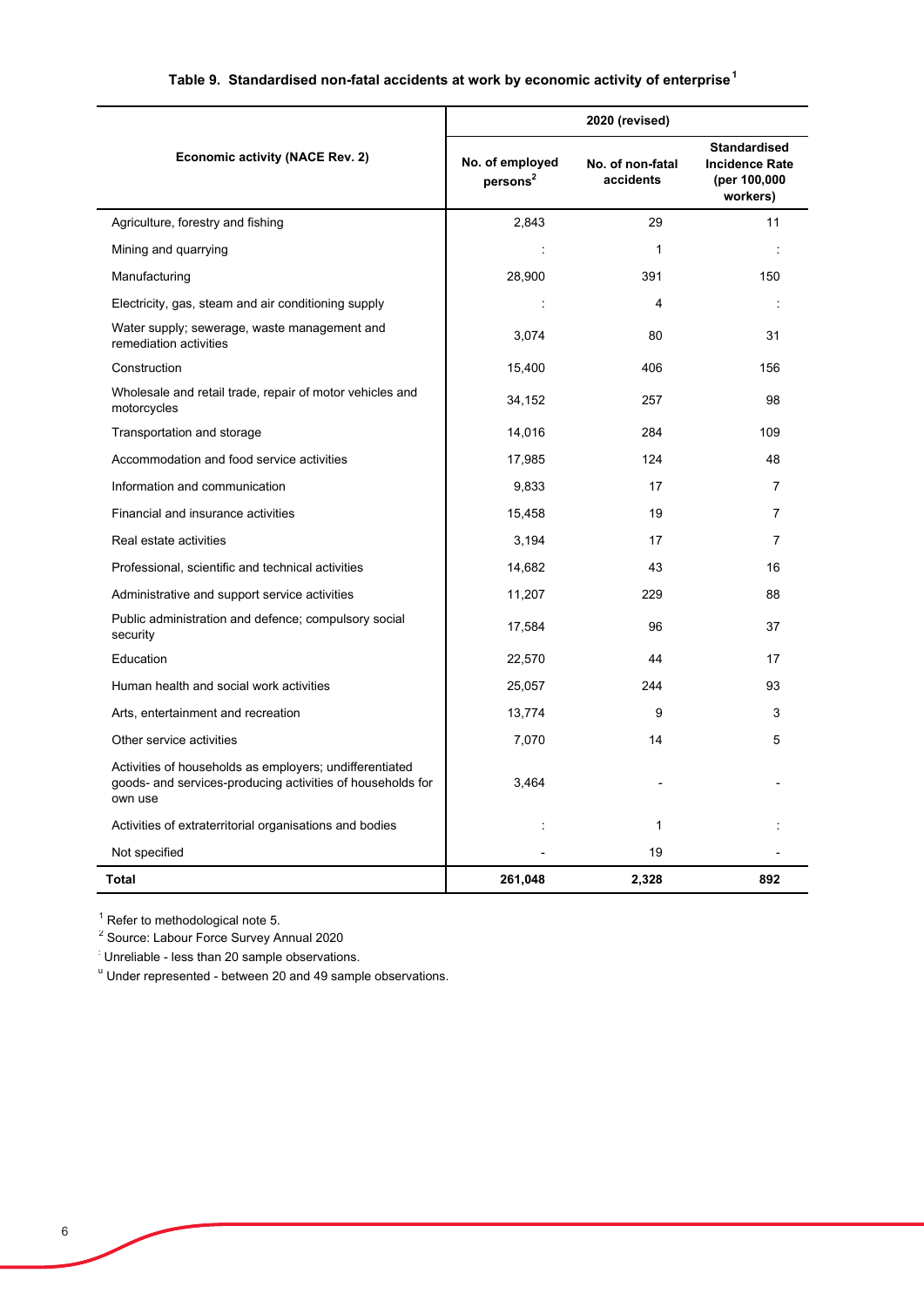# **Table 9. Standardised non-fatal accidents at work by economic activity of enterprise<sup>1</sup>**

|                                                                                                                                  |                                         | 2020 (revised)                |                                                                          |
|----------------------------------------------------------------------------------------------------------------------------------|-----------------------------------------|-------------------------------|--------------------------------------------------------------------------|
| <b>Economic activity (NACE Rev. 2)</b>                                                                                           | No. of employed<br>persons <sup>2</sup> | No. of non-fatal<br>accidents | <b>Standardised</b><br><b>Incidence Rate</b><br>(per 100,000<br>workers) |
| Agriculture, forestry and fishing                                                                                                | 2.843                                   | 29                            | 11                                                                       |
| Mining and quarrying                                                                                                             | ÷                                       | $\mathbf 1$                   | ÷                                                                        |
| Manufacturing                                                                                                                    | 28,900                                  | 391                           | 150                                                                      |
| Electricity, gas, steam and air conditioning supply                                                                              | ÷                                       | 4                             | ÷                                                                        |
| Water supply; sewerage, waste management and<br>remediation activities                                                           | 3,074                                   | 80                            | 31                                                                       |
| Construction                                                                                                                     | 15,400                                  | 406                           | 156                                                                      |
| Wholesale and retail trade, repair of motor vehicles and<br>motorcycles                                                          | 34,152                                  | 257                           | 98                                                                       |
| Transportation and storage                                                                                                       | 14,016                                  | 284                           | 109                                                                      |
| Accommodation and food service activities                                                                                        | 17,985                                  | 124                           | 48                                                                       |
| Information and communication                                                                                                    | 9,833                                   | 17                            | $\overline{7}$                                                           |
| Financial and insurance activities                                                                                               | 15,458                                  | 19                            | $\overline{7}$                                                           |
| Real estate activities                                                                                                           | 3,194                                   | 17                            | $\overline{7}$                                                           |
| Professional, scientific and technical activities                                                                                | 14,682                                  | 43                            | 16                                                                       |
| Administrative and support service activities                                                                                    | 11,207                                  | 229                           | 88                                                                       |
| Public administration and defence; compulsory social<br>security                                                                 | 17,584                                  | 96                            | 37                                                                       |
| Education                                                                                                                        | 22,570                                  | 44                            | 17                                                                       |
| Human health and social work activities                                                                                          | 25,057                                  | 244                           | 93                                                                       |
| Arts, entertainment and recreation                                                                                               | 13,774                                  | 9                             | 3                                                                        |
| Other service activities                                                                                                         | 7,070                                   | 14                            | 5                                                                        |
| Activities of households as employers; undifferentiated<br>goods- and services-producing activities of households for<br>own use | 3,464                                   |                               |                                                                          |
| Activities of extraterritorial organisations and bodies                                                                          |                                         | 1                             |                                                                          |
| Not specified                                                                                                                    |                                         | 19                            |                                                                          |
| <b>Total</b>                                                                                                                     | 261,048                                 | 2,328                         | 892                                                                      |

<sup>1</sup> Refer to methodological note 5.

<sup>2</sup> Source: Labour Force Survey Annual 2020

: Unreliable - less than 20 sample observations.

<sup>u</sup> Under represented - between 20 and 49 sample observations.